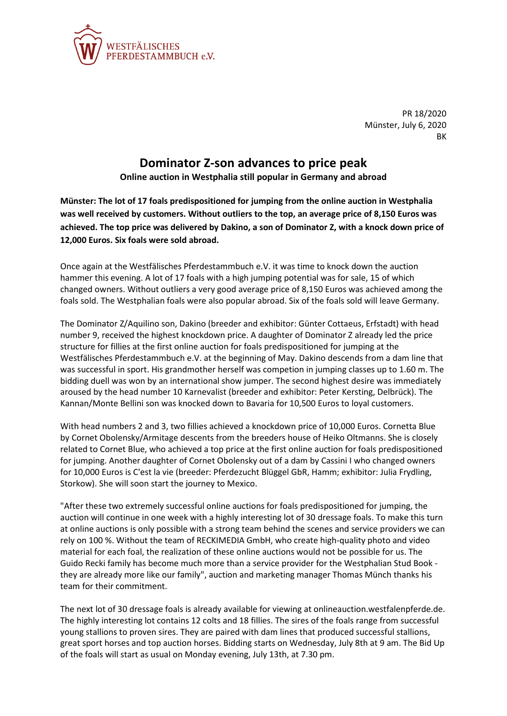

PR 18/2020 Münster, July 6, 2020 **RK** 

## **Dominator Z-son advances to price peak**

**Online auction in Westphalia still popular in Germany and abroad**

**Münster: The lot of 17 foals predispositioned for jumping from the online auction in Westphalia was well received by customers. Without outliers to the top, an average price of 8,150 Euros was achieved. The top price was delivered by Dakino, a son of Dominator Z, with a knock down price of 12,000 Euros. Six foals were sold abroad.**

Once again at the Westfälisches Pferdestammbuch e.V. it was time to knock down the auction hammer this evening. A lot of 17 foals with a high jumping potential was for sale, 15 of which changed owners. Without outliers a very good average price of 8,150 Euros was achieved among the foals sold. The Westphalian foals were also popular abroad. Six of the foals sold will leave Germany.

The Dominator Z/Aquilino son, Dakino (breeder and exhibitor: Günter Cottaeus, Erfstadt) with head number 9, received the highest knockdown price. A daughter of Dominator Z already led the price structure for fillies at the first online auction for foals predispositioned for jumping at the Westfälisches Pferdestammbuch e.V. at the beginning of May. Dakino descends from a dam line that was successful in sport. His grandmother herself was competion in jumping classes up to 1.60 m. The bidding duell was won by an international show jumper. The second highest desire was immediately aroused by the head number 10 Karnevalist (breeder and exhibitor: Peter Kersting, Delbrück). The Kannan/Monte Bellini son was knocked down to Bavaria for 10,500 Euros to loyal customers.

With head numbers 2 and 3, two fillies achieved a knockdown price of 10,000 Euros. Cornetta Blue by Cornet Obolensky/Armitage descents from the breeders house of Heiko Oltmanns. She is closely related to Cornet Blue, who achieved a top price at the first online auction for foals predispositioned for jumping. Another daughter of Cornet Obolensky out of a dam by Cassini I who changed owners for 10,000 Euros is C'est la vie (breeder: Pferdezucht Blüggel GbR, Hamm; exhibitor: Julia Frydling, Storkow). She will soon start the journey to Mexico.

"After these two extremely successful online auctions for foals predispositioned for jumping, the auction will continue in one week with a highly interesting lot of 30 dressage foals. To make this turn at online auctions is only possible with a strong team behind the scenes and service providers we can rely on 100 %. Without the team of RECKIMEDIA GmbH, who create high-quality photo and video material for each foal, the realization of these online auctions would not be possible for us. The Guido Recki family has become much more than a service provider for the Westphalian Stud Book they are already more like our family", auction and marketing manager Thomas Münch thanks his team for their commitment.

The next lot of 30 dressage foals is already available for viewing at onlineauction.westfalenpferde.de. The highly interesting lot contains 12 colts and 18 fillies. The sires of the foals range from successful young stallions to proven sires. They are paired with dam lines that produced successful stallions, great sport horses and top auction horses. Bidding starts on Wednesday, July 8th at 9 am. The Bid Up of the foals will start as usual on Monday evening, July 13th, at 7.30 pm.